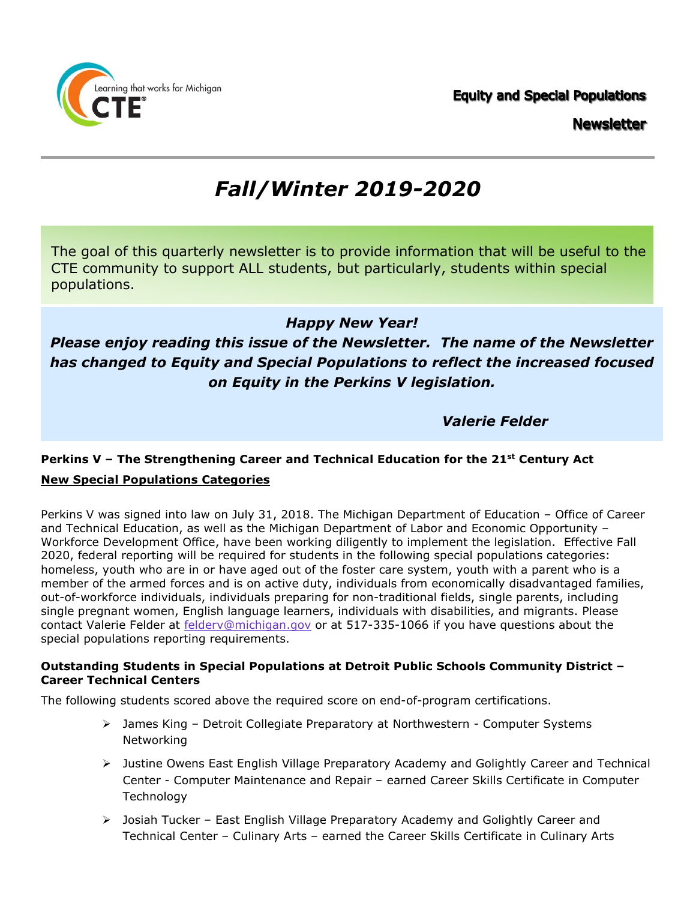**Equity and Special Populations Newsletter** 



The goal of this quarterly newsletter is to provide information that will be useful to the CTE community to support ALL students, but particularly, students within special populations.

## *Happy New Year!*

## *Please enjoy reading this issue of the Newsletter. The name of the Newsletter has changed to Equity and Special Populations to reflect the increased focused on Equity in the Perkins V legislation.*

### *Valerie Felder*

## **Perkins V – The Strengthening Career and Technical Education for the 21st Century Act New Special Populations Categories**

Perkins V was signed into law on July 31, 2018. The Michigan Department of Education – Office of Career and Technical Education, as well as the Michigan Department of Labor and Economic Opportunity – Workforce Development Office, have been working diligently to implement the legislation. Effective Fall 2020, federal reporting will be required for students in the following special populations categories: homeless, youth who are in or have aged out of the foster care system, youth with a parent who is a member of the armed forces and is on active duty, individuals from economically disadvantaged families, out-of-workforce individuals, individuals preparing for non-traditional fields, single parents, including single pregnant women, English language learners, individuals with disabilities, and migrants. Please contact Valerie Felder at [felderv@michigan.gov](mailto:felderv@michigan.gov) or at 517-335-1066 if you have questions about the special populations reporting requirements.

#### **Outstanding Students in Special Populations at Detroit Public Schools Community District – Career Technical Centers**

The following students scored above the required score on end-of-program certifications.

- James King Detroit Collegiate Preparatory at Northwestern Computer Systems Networking
- Justine Owens East English Village Preparatory Academy and Golightly Career and Technical Center - Computer Maintenance and Repair – earned Career Skills Certificate in Computer **Technology**
- $\triangleright$  Josiah Tucker East English Village Preparatory Academy and Golightly Career and Technical Center – Culinary Arts – earned the Career Skills Certificate in Culinary Arts

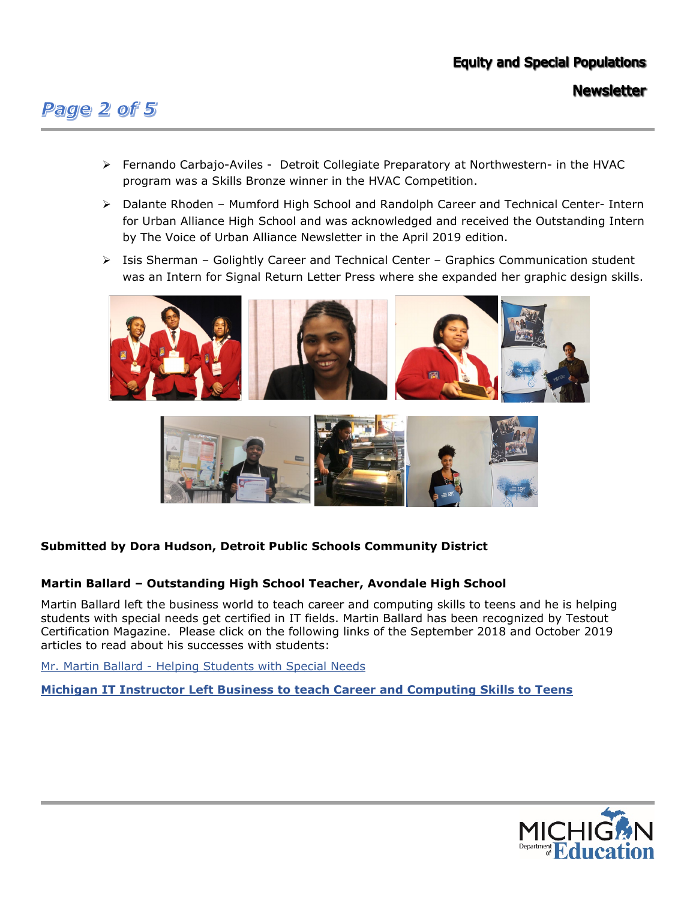# **Equity and Special Populations**

**Newsletter** 

# Page 2 of 5

- $\triangleright$  Fernando Carbajo-Aviles Detroit Collegiate Preparatory at Northwestern- in the HVAC program was a Skills Bronze winner in the HVAC Competition.
- Dalante Rhoden Mumford High School and Randolph Career and Technical Center- Intern for Urban Alliance High School and was acknowledged and received the Outstanding Intern by The Voice of Urban Alliance Newsletter in the April 2019 edition.
- $\triangleright$  Isis Sherman Golightly Career and Technical Center Graphics Communication student was an Intern for Signal Return Letter Press where she expanded her graphic design skills.





### **Submitted by Dora Hudson, Detroit Public Schools Community District**

#### **Martin Ballard – Outstanding High School Teacher, Avondale High School**

Martin Ballard left the business world to teach career and computing skills to teens and he is helping students with special needs get certified in IT fields. Martin Ballard has been recognized by Testout Certification Magazine. Please click on the following links of the September 2018 and October 2019 articles to read about his successes with students:

[Mr. Martin Ballard - Helping Students with Special Needs](http://certmag.com/michigan-educator-helping-students-special-needs-get-certified/) 

#### **[Michigan IT Instructor Left Business to teach Career and Computing Skills to Teens](http://certmag.com/michigan-instructor-left-business-world-behind-teach-career-computing-skills-teens/)**

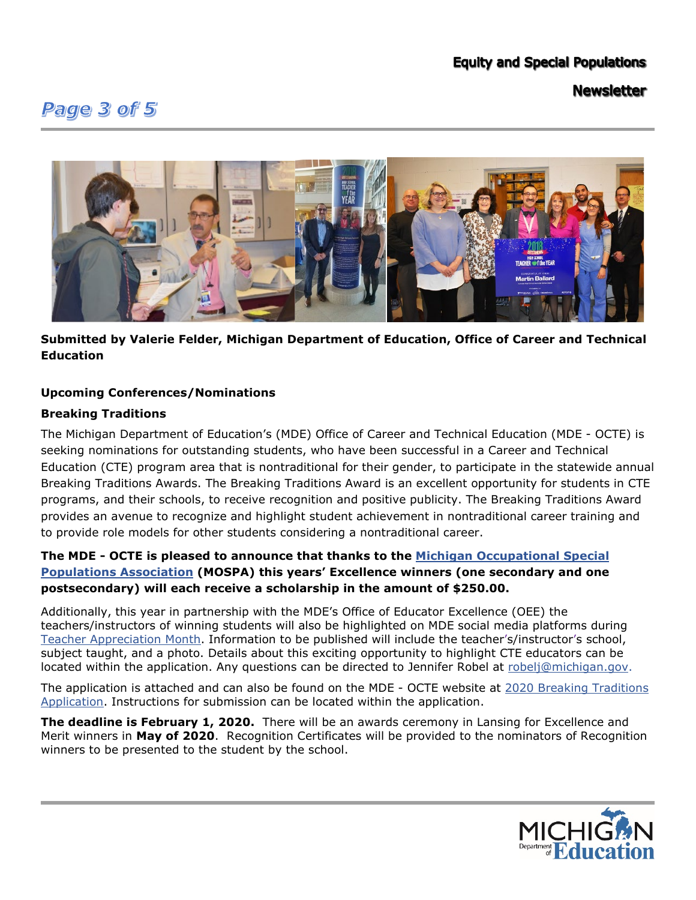# **Equity and Special Populations**

# Page 3 of 5

**Newsletter** 



**Submitted by Valerie Felder, Michigan Department of Education, Office of Career and Technical Education** 

#### **Upcoming Conferences/Nominations**

#### **Breaking Traditions**

The Michigan Department of Education's (MDE) Office of Career and Technical Education (MDE - OCTE) is seeking nominations for outstanding students, who have been successful in a Career and Technical Education (CTE) program area that is nontraditional for their gender, to participate in the statewide annual Breaking Traditions Awards. The Breaking Traditions Award is an excellent opportunity for students in CTE programs, and their schools, to receive recognition and positive publicity. The Breaking Traditions Award provides an avenue to recognize and highlight student achievement in nontraditional career training and to provide role models for other students considering a nontraditional career.

### **The MDE - OCTE is pleased to announce that thanks to the [Michigan Occupational Special](https://gcc01.safelinks.protection.outlook.com/?url=https%3A%2F%2Fmospaonline.org%2F&data=02%7C01%7CFelderV%40michigan.gov%7Cbcf840a2c51b4732822708d792abe75f%7Cd5fb7087377742ad966a892ef47225d1%7C0%7C0%7C637139139508821051&sdata=y2byaIv3kcQp%2F1bHKJPtbDQ7gLfuHtweyo9Yeva6Rc8%3D&reserved=0)  [Populations Association](https://gcc01.safelinks.protection.outlook.com/?url=https%3A%2F%2Fmospaonline.org%2F&data=02%7C01%7CFelderV%40michigan.gov%7Cbcf840a2c51b4732822708d792abe75f%7Cd5fb7087377742ad966a892ef47225d1%7C0%7C0%7C637139139508821051&sdata=y2byaIv3kcQp%2F1bHKJPtbDQ7gLfuHtweyo9Yeva6Rc8%3D&reserved=0) (MOSPA) this years' Excellence winners (one secondary and one postsecondary) will each receive a scholarship in the amount of \$250.00.**

Additionally, this year in partnership with the MDE's Office of Educator Excellence (OEE) the teachers/instructors of winning students will also be highlighted on MDE social media platforms during [Teacher Appreciation Month.](https://gcc01.safelinks.protection.outlook.com/?url=https%3A%2F%2Fwww.michigan.gov%2Fmde%2F0%2C4615%2C7-140-5683_13651-495736--%2C00.html&data=02%7C01%7CFelderV%40michigan.gov%7Cbcf840a2c51b4732822708d792abe75f%7Cd5fb7087377742ad966a892ef47225d1%7C0%7C0%7C637139139508831052&sdata=y11HOQBiSsS0PaLCvs5kCpvtJ9O%2B5mv5bQ%2FU%2B1oGAJQ%3D&reserved=0) Information to be published will include the teacher's/instructor's school, subject taught, and a photo. Details about this exciting opportunity to highlight CTE educators can be located within the application. Any questions can be directed to Jennifer Robel at [robelj@michigan.gov.](mailto:robelj@michigan.gov)

The application is attached and can also be found on the MDE - OCTE website at 2020 Breaking Traditions [Application.](https://www.michigan.gov/mde/0,4615,7-140-2629---,00.html) Instructions for submission can be located within the application.

**The deadline is February 1, 2020.** There will be an awards ceremony in Lansing for Excellence and Merit winners in **May of 2020**. Recognition Certificates will be provided to the nominators of Recognition winners to be presented to the student by the school.

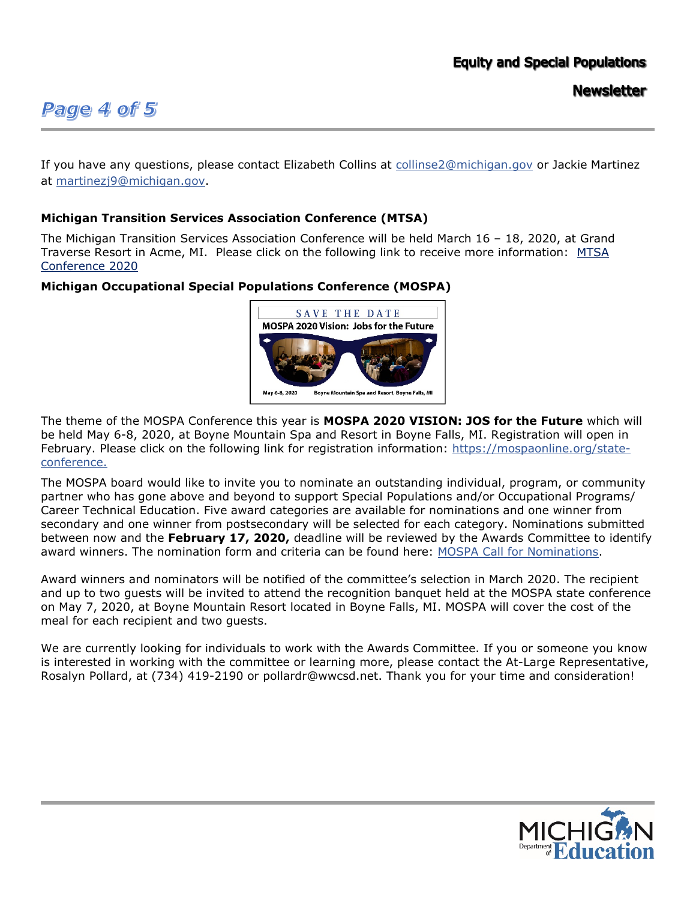## **Equity and Special Populations**

# Page 4 of 5

**Newsletter** 

If you have any questions, please contact Elizabeth Collins at [collinse2@michigan.gov](mailto:collinse2@michigan.gov) or Jackie Martinez at [martinezj9@michigan.gov.](mailto:martinezj9@michigan.gov)

#### **Michigan Transition Services Association Conference (MTSA)**

The Michigan Transition Services Association Conference will be held March 16 – 18, 2020, at Grand Traverse Resort in Acme, MI. Please click on the following link to receive more information: [MTSA](http://www.michigantsa.org/841-2/)  [Conference 2020](http://www.michigantsa.org/841-2/)

#### **Michigan Occupational Special Populations Conference (MOSPA)**



The theme of the MOSPA Conference this year is **MOSPA 2020 VISION: JOS for the Future** which will be held May 6-8, 2020, at Boyne Mountain Spa and Resort in Boyne Falls, MI. Registration will open in February. Please click on the following link for registration information: [https://mospaonline.org/state](https://mospaonline.org/state-conference)[conference.](https://mospaonline.org/state-conference)

The MOSPA board would like to invite you to nominate an outstanding individual, program, or community partner who has gone above and beyond to support Special Populations and/or Occupational Programs/ Career Technical Education. Five award categories are available for nominations and one winner from secondary and one winner from postsecondary will be selected for each category. Nominations submitted between now and the **February 17, 2020,** deadline will be reviewed by the Awards Committee to identify award winners. The nomination form and criteria can be found here: [MOSPA Call for Nominations.](https://mospaonline.org/awards-%26-recognition)

Award winners and nominators will be notified of the committee's selection in March 2020. The recipient and up to two guests will be invited to attend the recognition banquet held at the MOSPA state conference on May 7, 2020, at Boyne Mountain Resort located in Boyne Falls, MI. MOSPA will cover the cost of the meal for each recipient and two guests.

We are currently looking for individuals to work with the Awards Committee. If you or someone you know is interested in working with the committee or learning more, please contact the At-Large Representative, Rosalyn Pollard, at (734) 419-2190 or pollardr@wwcsd.net. Thank you for your time and consideration!